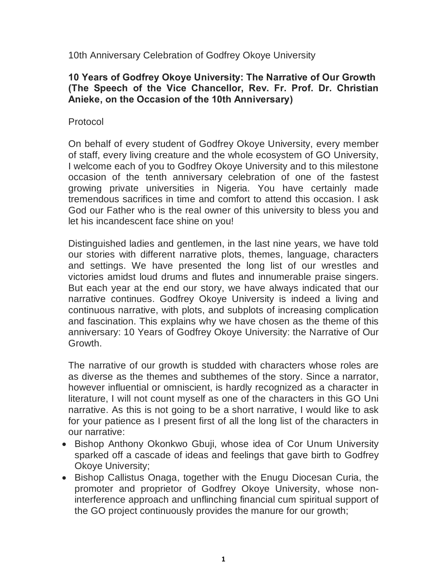10th Anniversary Celebration of Godfrey Okoye University

### **10 Years of Godfrey Okoye University: The Narrative of Our Growth (The Speech of the Vice Chancellor, Rev. Fr. Prof. Dr. Christian Anieke, on the Occasion of the 10th Anniversary)**

# Protocol

On behalf of every student of Godfrey Okoye University, every member of staff, every living creature and the whole ecosystem of GO University, I welcome each of you to Godfrey Okoye University and to this milestone occasion of the tenth anniversary celebration of one of the fastest growing private universities in Nigeria. You have certainly made tremendous sacrifices in time and comfort to attend this occasion. I ask God our Father who is the real owner of this university to bless you and let his incandescent face shine on you!

Distinguished ladies and gentlemen, in the last nine years, we have told our stories with different narrative plots, themes, language, characters and settings. We have presented the long list of our wrestles and victories amidst loud drums and flutes and innumerable praise singers. But each year at the end our story, we have always indicated that our narrative continues. Godfrey Okoye University is indeed a living and continuous narrative, with plots, and subplots of increasing complication and fascination. This explains why we have chosen as the theme of this anniversary: 10 Years of Godfrey Okoye University: the Narrative of Our Growth.

The narrative of our growth is studded with characters whose roles are as diverse as the themes and subthemes of the story. Since a narrator, however influential or omniscient, is hardly recognized as a character in literature, I will not count myself as one of the characters in this GO Uni narrative. As this is not going to be a short narrative, I would like to ask for your patience as I present first of all the long list of the characters in our narrative:

- · Bishop Anthony Okonkwo Gbuji, whose idea of Cor Unum University sparked off a cascade of ideas and feelings that gave birth to Godfrey Okoye University;
- · Bishop Callistus Onaga, together with the Enugu Diocesan Curia, the promoter and proprietor of Godfrey Okoye University, whose noninterference approach and unflinching financial cum spiritual support of the GO project continuously provides the manure for our growth;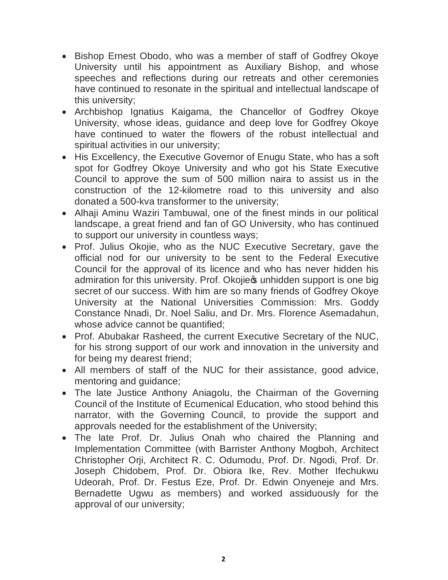- · Bishop Ernest Obodo, who was a member of staff of Godfrey Okoye University until his appointment as Auxiliary Bishop, and whose speeches and reflections during our retreats and other ceremonies have continued to resonate in the spiritual and intellectual landscape of this university;
- · Archbishop Ignatius Kaigama, the Chancellor of Godfrey Okoye University, whose ideas, guidance and deep love for Godfrey Okoye have continued to water the flowers of the robust intellectual and spiritual activities in our university;
- His Excellency, the Executive Governor of Enugu State, who has a soft spot for Godfrey Okoye University and who got his State Executive Council to approve the sum of 500 million naira to assist us in the construction of the 12-kilometre road to this university and also donated a 500-kva transformer to the university;
- Alhaji Aminu Waziri Tambuwal, one of the finest minds in our political landscape, a great friend and fan of GO University, who has continued to support our university in countless ways;
- · Prof. Julius Okojie, who as the NUC Executive Secretary, gave the official nod for our university to be sent to the Federal Executive Council for the approval of its licence and who has never hidden his admiration for this university. Prof. Okojie in unhidden support is one big secret of our success. With him are so many friends of Godfrey Okoye University at the National Universities Commission: Mrs. Goddy Constance Nnadi, Dr. Noel Saliu, and Dr. Mrs. Florence Asemadahun, whose advice cannot be quantified;
- · Prof. Abubakar Rasheed, the current Executive Secretary of the NUC, for his strong support of our work and innovation in the university and for being my dearest friend;
- · All members of staff of the NUC for their assistance, good advice, mentoring and guidance;
- · The late Justice Anthony Aniagolu, the Chairman of the Governing Council of the Institute of Ecumenical Education, who stood behind this narrator, with the Governing Council, to provide the support and approvals needed for the establishment of the University;
- · The late Prof. Dr. Julius Onah who chaired the Planning and Implementation Committee (with Barrister Anthony Mogboh, Architect Christopher Orji, Architect R. C. Odumodu, Prof. Dr. Ngodi, Prof. Dr. Joseph Chidobem, Prof. Dr. Obiora Ike, Rev. Mother Ifechukwu Udeorah, Prof. Dr. Festus Eze, Prof. Dr. Edwin Onyeneje and Mrs. Bernadette Ugwu as members) and worked assiduously for the approval of our university;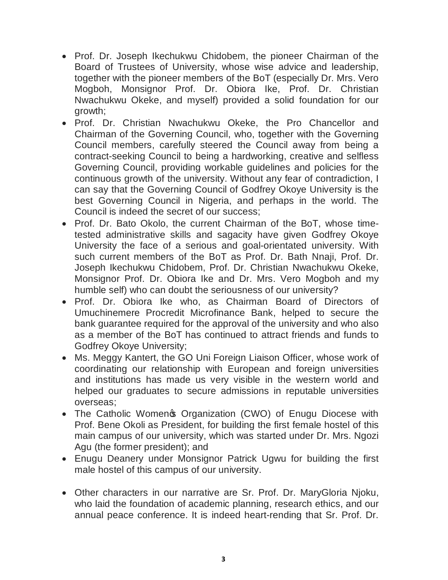- · Prof. Dr. Joseph Ikechukwu Chidobem, the pioneer Chairman of the Board of Trustees of University, whose wise advice and leadership, together with the pioneer members of the BoT (especially Dr. Mrs. Vero Mogboh, Monsignor Prof. Dr. Obiora Ike, Prof. Dr. Christian Nwachukwu Okeke, and myself) provided a solid foundation for our growth;
- · Prof. Dr. Christian Nwachukwu Okeke, the Pro Chancellor and Chairman of the Governing Council, who, together with the Governing Council members, carefully steered the Council away from being a contract-seeking Council to being a hardworking, creative and selfless Governing Council, providing workable guidelines and policies for the continuous growth of the university. Without any fear of contradiction, I can say that the Governing Council of Godfrey Okoye University is the best Governing Council in Nigeria, and perhaps in the world. The Council is indeed the secret of our success;
- · Prof. Dr. Bato Okolo, the current Chairman of the BoT, whose timetested administrative skills and sagacity have given Godfrey Okoye University the face of a serious and goal-orientated university. With such current members of the BoT as Prof. Dr. Bath Nnaji, Prof. Dr. Joseph Ikechukwu Chidobem, Prof. Dr. Christian Nwachukwu Okeke, Monsignor Prof. Dr. Obiora Ike and Dr. Mrs. Vero Mogboh and my humble self) who can doubt the seriousness of our university?
- · Prof. Dr. Obiora Ike who, as Chairman Board of Directors of Umuchinemere Procredit Microfinance Bank, helped to secure the bank guarantee required for the approval of the university and who also as a member of the BoT has continued to attract friends and funds to Godfrey Okoye University;
- · Ms. Meggy Kantert, the GO Uni Foreign Liaison Officer, whose work of coordinating our relationship with European and foreign universities and institutions has made us very visible in the western world and helped our graduates to secure admissions in reputable universities overseas;
- The Catholic Womengs Organization (CWO) of Enugu Diocese with Prof. Bene Okoli as President, for building the first female hostel of this main campus of our university, which was started under Dr. Mrs. Ngozi Agu (the former president); and
- · Enugu Deanery under Monsignor Patrick Ugwu for building the first male hostel of this campus of our university.
- · Other characters in our narrative are Sr. Prof. Dr. MaryGloria Njoku, who laid the foundation of academic planning, research ethics, and our annual peace conference. It is indeed heart-rending that Sr. Prof. Dr.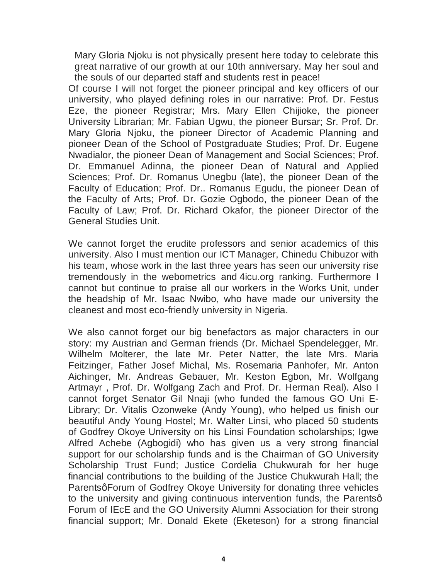Mary Gloria Njoku is not physically present here today to celebrate this great narrative of our growth at our 10th anniversary. May her soul and the souls of our departed staff and students rest in peace!

Of course I will not forget the pioneer principal and key officers of our university, who played defining roles in our narrative: Prof. Dr. Festus Eze, the pioneer Registrar; Mrs. Mary Ellen Chijioke, the pioneer University Librarian; Mr. Fabian Ugwu, the pioneer Bursar; Sr. Prof. Dr. Mary Gloria Njoku, the pioneer Director of Academic Planning and pioneer Dean of the School of Postgraduate Studies; Prof. Dr. Eugene Nwadialor, the pioneer Dean of Management and Social Sciences; Prof. Dr. Emmanuel Adinna, the pioneer Dean of Natural and Applied Sciences; Prof. Dr. Romanus Unegbu (late), the pioneer Dean of the Faculty of Education; Prof. Dr.. Romanus Egudu, the pioneer Dean of the Faculty of Arts; Prof. Dr. Gozie Ogbodo, the pioneer Dean of the Faculty of Law; Prof. Dr. Richard Okafor, the pioneer Director of the General Studies Unit.

We cannot forget the erudite professors and senior academics of this university. Also I must mention our ICT Manager, Chinedu Chibuzor with his team, whose work in the last three years has seen our university rise tremendously in the webometrics and 4icu.org ranking. Furthermore I cannot but continue to praise all our [workers in](http://4icu.org/) the Works Unit, under the headship of Mr. Isaac Nwibo, who have made our university the cleanest and most eco-friendly university in Nigeria.

We also cannot forget our big benefactors as major characters in our story: my Austrian and German friends (Dr. Michael Spendelegger, Mr. Wilhelm Molterer, the late Mr. Peter Natter, the late Mrs. Maria Feitzinger, Father Josef Michal, Ms. Rosemaria Panhofer, Mr. Anton Aichinger, Mr. Andreas Gebauer, Mr. Keston Egbon, Mr. Wolfgang Artmayr , Prof. Dr. Wolfgang Zach and Prof. Dr. Herman Real). Also I cannot forget Senator Gil Nnaji (who funded the famous GO Uni E-Library; Dr. Vitalis Ozonweke (Andy Young), who helped us finish our beautiful Andy Young Hostel; Mr. Walter Linsi, who placed 50 students of Godfrey Okoye University on his Linsi Foundation scholarships; Igwe Alfred Achebe (Agbogidi) who has given us a very strong financial support for our scholarship funds and is the Chairman of GO University Scholarship Trust Fund; Justice Cordelia Chukwurah for her huge financial contributions to the building of the Justice Chukwurah Hall; the Parentsg Forum of Godfrey Okoye University for donating three vehicles to the university and giving continuous intervention funds, the Parentsq Forum of IEcE and the GO University Alumni Association for their strong financial support; Mr. Donald Ekete (Eketeson) for a strong financial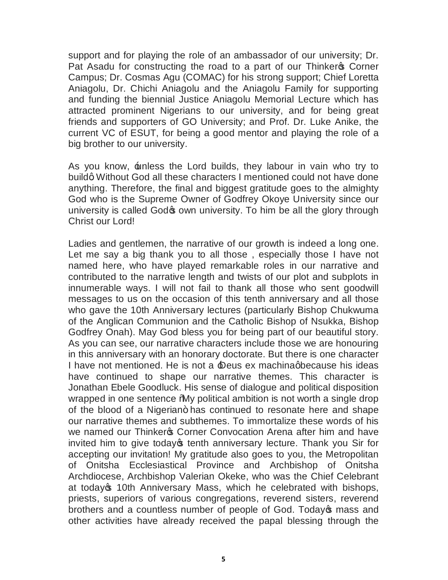support and for playing the role of an ambassador of our university; Dr. Pat Asadu for constructing the road to a part of our Thinker of Corner Campus; Dr. Cosmas Agu (COMAC) for his strong support; Chief Loretta Aniagolu, Dr. Chichi Aniagolu and the Aniagolu Family for supporting and funding the biennial Justice Aniagolu Memorial Lecture which has attracted prominent Nigerians to our university, and for being great friends and supporters of GO University; and Prof. Dr. Luke Anike, the current VC of ESUT, for being a good mentor and playing the role of a big brother to our university.

As you know,  $\pm$ nless the Lord builds, they labour in vain who try to buildg Without God all these characters I mentioned could not have done anything. Therefore, the final and biggest gratitude goes to the almighty God who is the Supreme Owner of Godfrey Okoye University since our university is called God to own university. To him be all the glory through Christ our Lord!

Ladies and gentlemen, the narrative of our growth is indeed a long one. Let me say a big thank you to all those , especially those I have not named here, who have played remarkable roles in our narrative and contributed to the narrative length and twists of our plot and subplots in innumerable ways. I will not fail to thank all those who sent goodwill messages to us on the occasion of this tenth anniversary and all those who gave the 10th Anniversary lectures (particularly Bishop Chukwuma of the Anglican Communion and the Catholic Bishop of Nsukka, Bishop Godfrey Onah). May God bless you for being part of our beautiful story. As you can see, our narrative characters include those we are honouring in this anniversary with an honorary doctorate. But there is one character I have not mentioned. He is not a **Deus ex machinagbecause his ideas** have continued to shape our narrative themes. This character is Jonathan Ebele Goodluck. His sense of dialogue and political disposition wrapped in one sentence *M*y political ambition is not worth a single drop of the blood of a Nigerian+ has continued to resonate here and shape our narrative themes and subthemes. To immortalize these words of his we named our Thinker & Corner Convocation Arena after him and have invited him to give today tenth anniversary lecture. Thank you Sir for accepting our invitation! My gratitude also goes to you, the Metropolitan of Onitsha Ecclesiastical Province and Archbishop of Onitsha Archdiocese, Archbishop Valerian Okeke, who was the Chief Celebrant at today<sub>s</sub> 10th Anniversary Mass, which he celebrated with bishops, priests, superiors of various congregations, reverend sisters, reverend brothers and a countless number of people of God. Today t mass and other activities have already received the papal blessing through the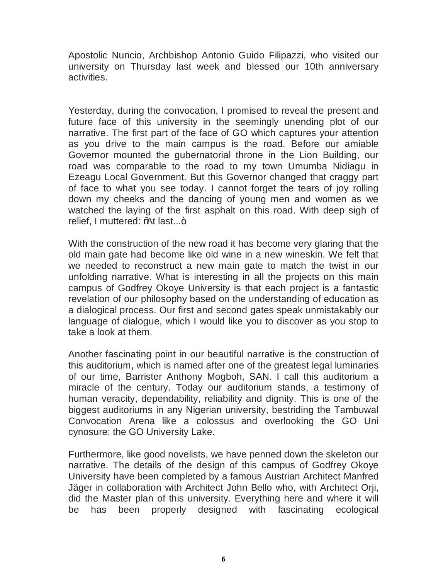Apostolic Nuncio, Archbishop Antonio Guido Filipazzi, who visited our university on Thursday last week and blessed our 10th anniversary activities.

Yesterday, during the convocation, I promised to reveal the present and future face of this university in the seemingly unending plot of our narrative. The first part of the face of GO which captures your attention as you drive to the main campus is the road. Before our amiable Governor mounted the gubernatorial throne in the Lion Building, our road was comparable to the road to my town Umumba Nidiagu in Ezeagu Local Government. But this Governor changed that craggy part of face to what you see today. I cannot forget the tears of joy rolling down my cheeks and the dancing of young men and women as we watched the laying of the first asphalt on this road. With deep sigh of relief, I muttered: %At last...+

With the construction of the new road it has become very glaring that the old main gate had become like old wine in a new wineskin. We felt that we needed to reconstruct a new main gate to match the twist in our unfolding narrative. What is interesting in all the projects on this main campus of Godfrey Okoye University is that each project is a fantastic revelation of our philosophy based on the understanding of education as a dialogical process. Our first and second gates speak unmistakably our language of dialogue, which I would like you to discover as you stop to take a look at them.

Another fascinating point in our beautiful narrative is the construction of this auditorium, which is named after one of the greatest legal luminaries of our time, Barrister Anthony Mogboh, SAN. I call this auditorium a miracle of the century. Today our auditorium stands, a testimony of human veracity, dependability, reliability and dignity. This is one of the biggest auditoriums in any Nigerian university, bestriding the Tambuwal Convocation Arena like a colossus and overlooking the GO Uni cynosure: the GO University Lake.

Furthermore, like good novelists, we have penned down the skeleton our narrative. The details of the design of this campus of Godfrey Okoye University have been completed by a famous Austrian Architect Manfred Jäger in collaboration with Architect John Bello who, with Architect Orji, did the Master plan of this university. Everything here and where it will be has been properly designed with fascinating ecological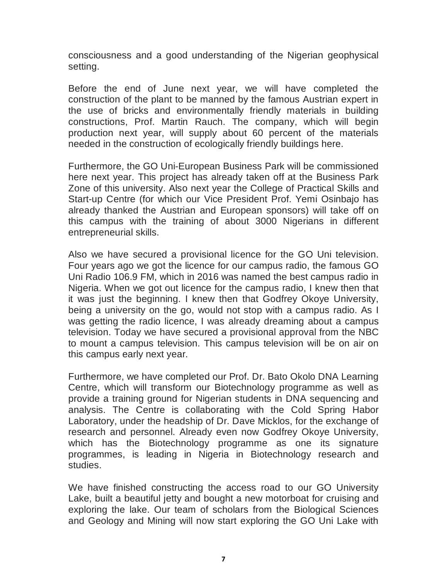consciousness and a good understanding of the Nigerian geophysical setting.

Before the end of June next year, we will have completed the construction of the plant to be manned by the famous Austrian expert in the use of bricks and environmentally friendly materials in building constructions, Prof. Martin Rauch. The company, which will begin production next year, will supply about 60 percent of the materials needed in the construction of ecologically friendly buildings here.

Furthermore, the GO Uni-European Business Park will be commissioned here next year. This project has already taken off at the Business Park Zone of this university. Also next year the College of Practical Skills and Start-up Centre (for which our Vice President Prof. Yemi Osinbajo has already thanked the Austrian and European sponsors) will take off on this campus with the training of about 3000 Nigerians in different entrepreneurial skills.

Also we have secured a provisional licence for the GO Uni television. Four years ago we got the licence for our campus radio, the famous GO Uni Radio 106.9 FM, which in 2016 was named the best campus radio in Nigeria. When we got out licence for the campus radio, I knew then that it was just the beginning. I knew then that Godfrey Okoye University, being a university on the go, would not stop with a campus radio. As I was getting the radio licence, I was already dreaming about a campus television. Today we have secured a provisional approval from the NBC to mount a campus television. This campus television will be on air on this campus early next year.

Furthermore, we have completed our Prof. Dr. Bato Okolo DNA Learning Centre, which will transform our Biotechnology programme as well as provide a training ground for Nigerian students in DNA sequencing and analysis. The Centre is collaborating with the Cold Spring Habor Laboratory, under the headship of Dr. Dave Micklos, for the exchange of research and personnel. Already even now Godfrey Okoye University, which has the Biotechnology programme as one its signature programmes, is leading in Nigeria in Biotechnology research and studies.

We have finished constructing the access road to our GO University Lake, built a beautiful jetty and bought a new motorboat for cruising and exploring the lake. Our team of scholars from the Biological Sciences and Geology and Mining will now start exploring the GO Uni Lake with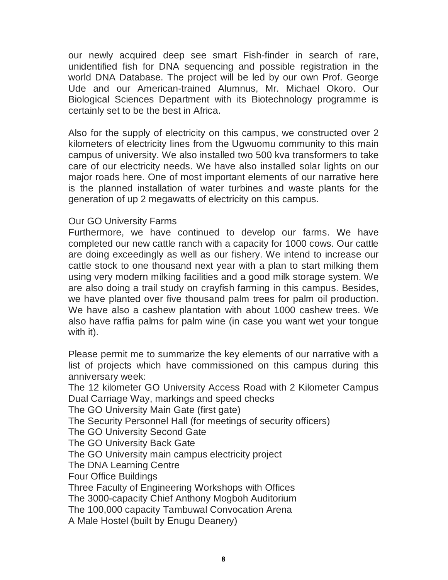our newly acquired deep see smart Fish-finder in search of rare, unidentified fish for DNA sequencing and possible registration in the world DNA Database. The project will be led by our own Prof. George Ude and our American-trained Alumnus, Mr. Michael Okoro. Our Biological Sciences Department with its Biotechnology programme is certainly set to be the best in Africa.

Also for the supply of electricity on this campus, we constructed over 2 kilometers of electricity lines from the Ugwuomu community to this main campus of university. We also installed two 500 kva transformers to take care of our electricity needs. We have also installed solar lights on our major roads here. One of most important elements of our narrative here is the planned installation of water turbines and waste plants for the generation of up 2 megawatts of electricity on this campus.

### Our GO University Farms

Furthermore, we have continued to develop our farms. We have completed our new cattle ranch with a capacity for 1000 cows. Our cattle are doing exceedingly as well as our fishery. We intend to increase our cattle stock to one thousand next year with a plan to start milking them using very modern milking facilities and a good milk storage system. We are also doing a trail study on crayfish farming in this campus. Besides, we have planted over five thousand palm trees for palm oil production. We have also a cashew plantation with about 1000 cashew trees. We also have raffia palms for palm wine (in case you want wet your tongue with it).

Please permit me to summarize the key elements of our narrative with a list of projects which have commissioned on this campus during this anniversary week:

The 12 kilometer GO University Access Road with 2 Kilometer Campus Dual Carriage Way, markings and speed checks

The GO University Main Gate (first gate)

The Security Personnel Hall (for meetings of security officers)

The GO University Second Gate

The GO University Back Gate

The GO University main campus electricity project

The DNA Learning Centre

Four Office Buildings

Three Faculty of Engineering Workshops with Offices

The 3000-capacity Chief Anthony Mogboh Auditorium

The 100,000 capacity Tambuwal Convocation Arena

A Male Hostel (built by Enugu Deanery)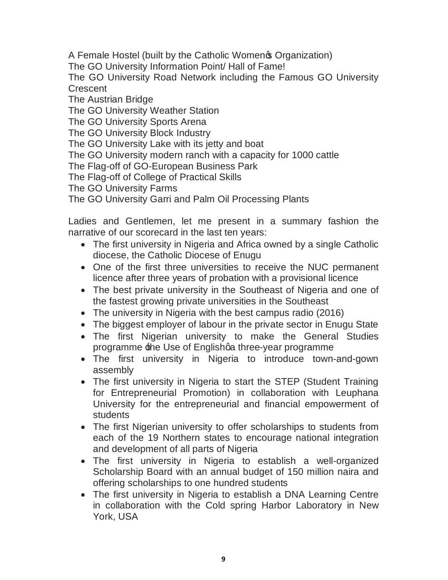A Female Hostel (built by the Catholic Women & Organization)

The GO University Information Point/ Hall of Fame!

The GO University Road Network including the Famous GO University **Crescent** 

The Austrian Bridge

The GO University Weather Station

The GO University Sports Arena

The GO University Block Industry

The GO University Lake with its jetty and boat

The GO University modern ranch with a capacity for 1000 cattle

The Flag-off of GO-European Business Park

The Flag-off of College of Practical Skills

The GO University Farms

The GO University Garri and Palm Oil Processing Plants

Ladies and Gentlemen, let me present in a summary fashion the narrative of our scorecard in the last ten years:

- The first university in Nigeria and Africa owned by a single Catholic diocese, the Catholic Diocese of Enugu
- · One of the first three universities to receive the NUC permanent licence after three years of probation with a provisional licence
- The best private university in the Southeast of Nigeria and one of the fastest growing private universities in the Southeast
- The university in Nigeria with the best campus radio (2016)
- The biggest employer of labour in the private sector in Enugu State
- · The first Nigerian university to make the General Studies programme the Use of Englishga three-year programme
- · The first university in Nigeria to introduce town-and-gown assembly
- The first university in Nigeria to start the STEP (Student Training for Entrepreneurial Promotion) in collaboration with Leuphana University for the entrepreneurial and financial empowerment of students
- The first Nigerian university to offer scholarships to students from each of the 19 Northern states to encourage national integration and development of all parts of Nigeria
- · The first university in Nigeria to establish a well-organized Scholarship Board with an annual budget of 150 million naira and offering scholarships to one hundred students
- · The first university in Nigeria to establish a DNA Learning Centre in collaboration with the Cold spring Harbor Laboratory in New York, USA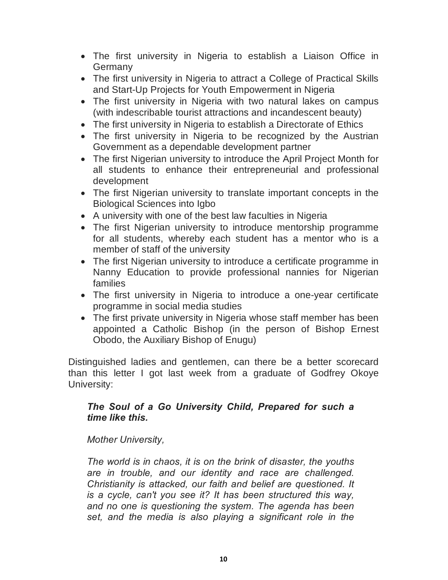- · The first university in Nigeria to establish a Liaison Office in Germany
- · The first university in Nigeria to attract a College of Practical Skills and Start-Up Projects for Youth Empowerment in Nigeria
- · The first university in Nigeria with two natural lakes on campus (with indescribable tourist attractions and incandescent beauty)
- The first university in Nigeria to establish a Directorate of Ethics
- The first university in Nigeria to be recognized by the Austrian Government as a dependable development partner
- · The first Nigerian university to introduce the April Project Month for all students to enhance their entrepreneurial and professional development
- · The first Nigerian university to translate important concepts in the Biological Sciences into Igbo
- · A university with one of the best law faculties in Nigeria
- · The first Nigerian university to introduce mentorship programme for all students, whereby each student has a mentor who is a member of staff of the university
- · The first Nigerian university to introduce a certificate programme in Nanny Education to provide professional nannies for Nigerian families
- · The first university in Nigeria to introduce a one-year certificate programme in social media studies
- The first private university in Nigeria whose staff member has been appointed a Catholic Bishop (in the person of Bishop Ernest Obodo, the Auxiliary Bishop of Enugu)

Distinguished ladies and gentlemen, can there be a better scorecard than this letter I got last week from a graduate of Godfrey Okoye University:

# *The Soul of a Go University Child, Prepared for such a time like this.*

# *Mother University,*

*The world is in chaos, it is on the brink of disaster, the youths are in trouble, and our identity and race are challenged. Christianity is attacked, our faith and belief are questioned. It is a cycle, can't you see it? It has been structured this way, and no one is questioning the system. The agenda has been set, and the media is also playing a significant role in the*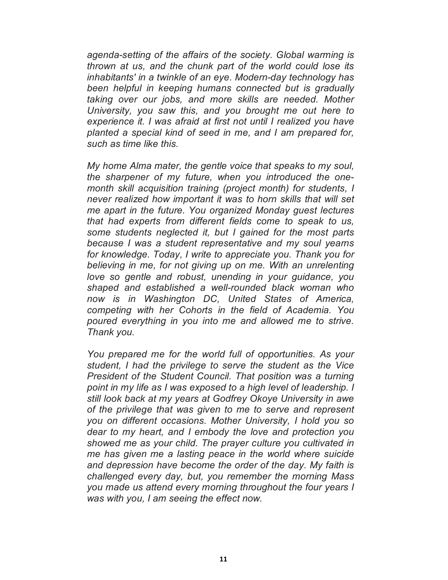*agenda-setting of the affairs of the society. Global warming is thrown at us, and the chunk part of the world could lose its inhabitants' in a twinkle of an eye. Modern-day technology has been helpful in keeping humans connected but is gradually taking over our jobs, and more skills are needed. Mother University, you saw this, and you brought me out here to experience it. I was afraid at first not until I realized you have planted a special kind of seed in me, and I am prepared for, such as time like this.*

*My home Alma mater, the gentle voice that speaks to my soul, the sharpener of my future, when you introduced the onemonth skill acquisition training (project month) for students, I never realized how important it was to horn skills that will set me apart in the future. You organized Monday guest lectures that had experts from different fields come to speak to us, some students neglected it, but I gained for the most parts because I was a student representative and my soul yearns for knowledge. Today, I write to appreciate you. Thank you for believing in me, for not giving up on me. With an unrelenting love so gentle and robust, unending in your guidance, you shaped and established a well-rounded black woman who now is in Washington DC, United States of America, competing with her Cohorts in the field of Academia. You poured everything in you into me and allowed me to strive. Thank you.*

*You prepared me for the world full of opportunities. As your student, I had the privilege to serve the student as the Vice President of the Student Council. That position was a turning point in my life as I was exposed to a high level of leadership. I still look back at my years at Godfrey Okoye University in awe of the privilege that was given to me to serve and represent you on different occasions. Mother University, I hold you so dear to my heart, and I embody the love and protection you showed me as your child. The prayer culture you cultivated in me has given me a lasting peace in the world where suicide and depression have become the order of the day. My faith is challenged every day, but, you remember the morning Mass you made us attend every morning throughout the four years I was with you, I am seeing the effect now.*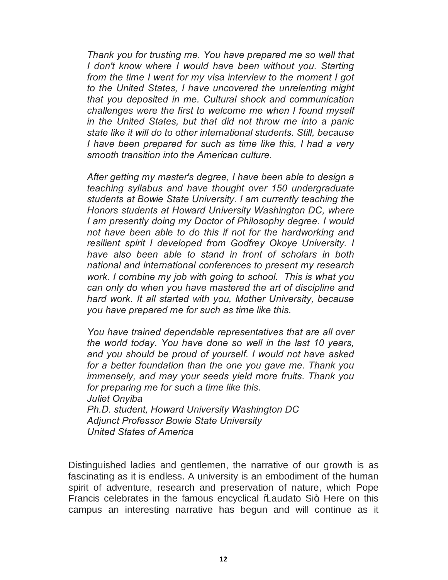*Thank you for trusting me. You have prepared me so well that I don't know where I would have been without you. Starting from the time I went for my visa interview to the moment I got to the United States, I have uncovered the unrelenting might that you deposited in me. Cultural shock and communication challenges were the first to welcome me when I found myself in the United States, but that did not throw me into a panic state like it will do to other international students. Still, because I have been prepared for such as time like this, I had a very smooth transition into the American culture.*

*After getting my master's degree, I have been able to design a teaching syllabus and have thought over 150 undergraduate students at Bowie State University. I am currently teaching the Honors students at Howard University Washington DC, where I am presently doing my Doctor of Philosophy degree. I would not have been able to do this if not for the hardworking and resilient spirit I developed from Godfrey Okoye University. I have also been able to stand in front of scholars in both national and international conferences to present my research work. I combine my job with going to school. This is what you can only do when you have mastered the art of discipline and hard work. It all started with you, Mother University, because you have prepared me for such as time like this.*

*You have trained dependable representatives that are all over the world today. You have done so well in the last 10 years, and you should be proud of yourself. I would not have asked for a better foundation than the one you gave me. Thank you immensely, and may your seeds yield more fruits. Thank you for preparing me for such a time like this. Juliet Onyiba Ph.D. student, Howard University Washington DC Adjunct Professor Bowie State University*

*United States of America*

Distinguished ladies and gentlemen, the narrative of our growth is as fascinating as it is endless. A university is an embodiment of the human spirit of adventure, research and preservation of nature, which Pope Francis celebrates in the famous encyclical \ \ audato Si+. Here on this campus an interesting narrative has begun and will continue as it